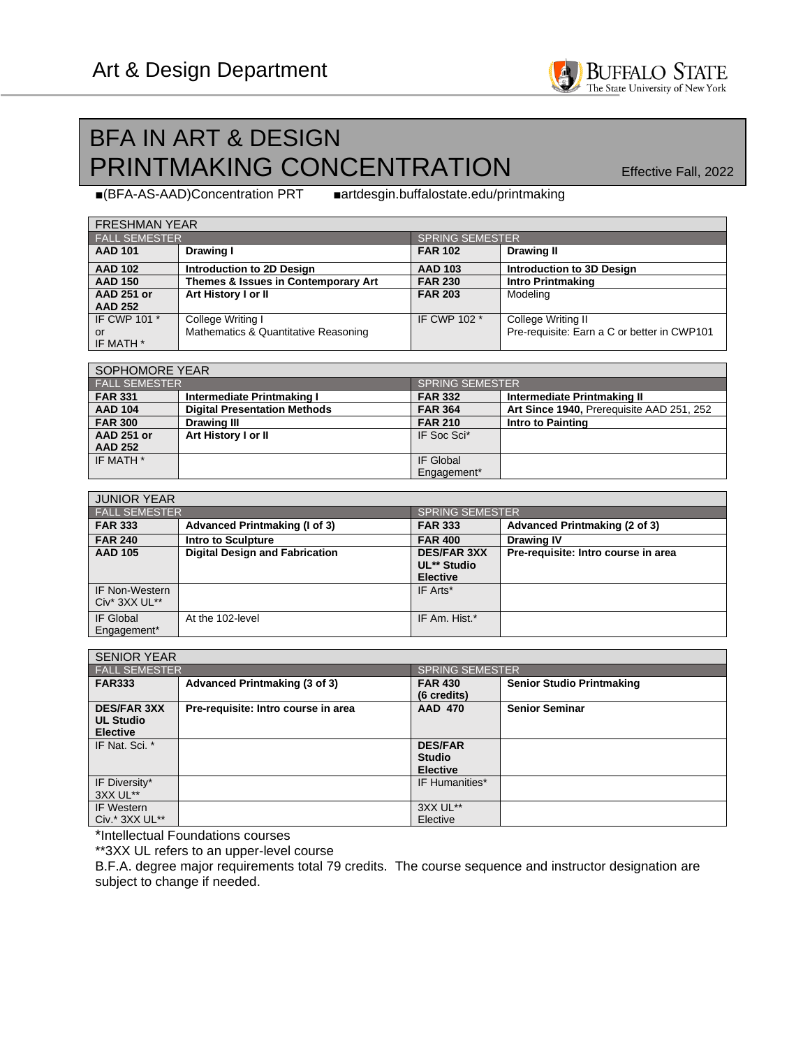## BFA IN ART & DESIGN PRINTMAKING CONCENTRATION Effective Fall, 2022

BUFFALO STATE<br>The State University of New York

■(BFA-AS-AAD)Concentration PRT ■artdesgin.buffalostate.edu/printmaking *b* 

| <b>FRESHMAN YEAR</b> |                                      |                        |                                             |  |  |
|----------------------|--------------------------------------|------------------------|---------------------------------------------|--|--|
| <b>FALL SEMESTER</b> |                                      | <b>SPRING SEMESTER</b> |                                             |  |  |
| <b>AAD 101</b>       | Drawing I                            | <b>FAR 102</b>         | <b>Drawing II</b>                           |  |  |
| <b>AAD 102</b>       | Introduction to 2D Design            | <b>AAD 103</b>         | Introduction to 3D Design                   |  |  |
| <b>AAD 150</b>       | Themes & Issues in Contemporary Art  | <b>FAR 230</b>         | <b>Intro Printmaking</b>                    |  |  |
| <b>AAD 251 or</b>    | Art History I or II                  | <b>FAR 203</b>         | Modeling                                    |  |  |
| <b>AAD 252</b>       |                                      |                        |                                             |  |  |
| IF CWP 101 *         | College Writing I                    | IF CWP 102 *           | College Writing II                          |  |  |
| or                   | Mathematics & Quantitative Reasoning |                        | Pre-requisite: Earn a C or better in CWP101 |  |  |
| IF MATH *            |                                      |                        |                                             |  |  |

| SOPHOMORE YEAR       |                                     |                            |                                           |  |  |
|----------------------|-------------------------------------|----------------------------|-------------------------------------------|--|--|
| <b>FALL SEMESTER</b> |                                     | <u>I SPRING SEMESTER !</u> |                                           |  |  |
| <b>FAR 331</b>       | Intermediate Printmaking I          | <b>FAR 332</b>             | Intermediate Printmaking II               |  |  |
| <b>AAD 104</b>       | <b>Digital Presentation Methods</b> | <b>FAR 364</b>             | Art Since 1940, Prerequisite AAD 251, 252 |  |  |
| <b>FAR 300</b>       | <b>Drawing III</b>                  | <b>FAR 210</b>             | Intro to Painting                         |  |  |
| <b>AAD 251 or</b>    | Art History I or II                 | IF Soc Sci*                |                                           |  |  |
| <b>AAD 252</b>       |                                     |                            |                                           |  |  |
| IF MATH *            |                                     | IF Global                  |                                           |  |  |
|                      |                                     | Engagement*                |                                           |  |  |

| <b>JUNIOR YEAR</b>                        |                                       |                                                      |                                     |  |  |
|-------------------------------------------|---------------------------------------|------------------------------------------------------|-------------------------------------|--|--|
| <b>FALL SEMESTER</b>                      |                                       | SPRING SEMESTER                                      |                                     |  |  |
| <b>FAR 333</b>                            | <b>Advanced Printmaking (I of 3)</b>  | <b>FAR 333</b>                                       | Advanced Printmaking (2 of 3)       |  |  |
| <b>FAR 240</b>                            | <b>Intro to Sculpture</b>             | <b>FAR 400</b>                                       | <b>Drawing IV</b>                   |  |  |
| <b>AAD 105</b>                            | <b>Digital Design and Fabrication</b> | <b>DES/FAR 3XX</b><br>UL** Studio<br><b>Elective</b> | Pre-requisite: Intro course in area |  |  |
| <b>IF Non-Western</b><br>$Civ^*$ 3XX UL** |                                       | IF Arts*                                             |                                     |  |  |
| IF Global<br>Engagement*                  | At the 102-level                      | IF Am. Hist.*                                        |                                     |  |  |

| <b>SENIOR YEAR</b>                                        |                                     |                                                    |                                  |  |
|-----------------------------------------------------------|-------------------------------------|----------------------------------------------------|----------------------------------|--|
| <b>FALL SEMESTER</b>                                      |                                     |                                                    | <b>SPRING SEMESTER</b>           |  |
| <b>FAR333</b>                                             | Advanced Printmaking (3 of 3)       | <b>FAR 430</b><br>(6 credits)                      | <b>Senior Studio Printmaking</b> |  |
| <b>DES/FAR 3XX</b><br><b>UL Studio</b><br><b>Elective</b> | Pre-requisite: Intro course in area | <b>AAD 470</b>                                     | <b>Senior Seminar</b>            |  |
| IF Nat. Sci. *                                            |                                     | <b>DES/FAR</b><br><b>Studio</b><br><b>Elective</b> |                                  |  |
| IF Diversity*<br>3XX UL**                                 |                                     | IF Humanities*                                     |                                  |  |
| <b>IF Western</b><br>Civ.* 3XX UL**                       |                                     | 3XX UL**<br>Elective                               |                                  |  |

\*Intellectual Foundations courses

\*\*3XX UL refers to an upper-level course

B.F.A. degree major requirements total 79 credits. The course sequence and instructor designation are subject to change if needed.